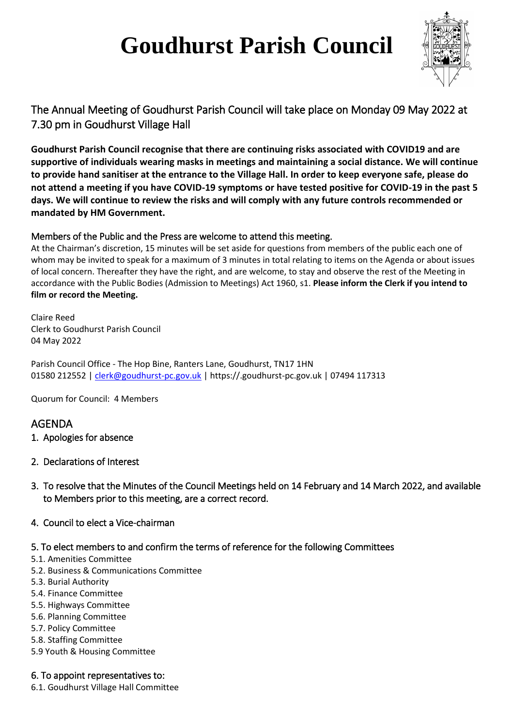# **Goudhurst Parish Council**



# The Annual Meeting of Goudhurst Parish Council will take place on Monday 09 May 2022 at 7.30 pm in Goudhurst Village Hall

**Goudhurst Parish Council recognise that there are continuing risks associated with COVID19 and are supportive of individuals wearing masks in meetings and maintaining a social distance. We will continue to provide hand sanitiser at the entrance to the Village Hall. In order to keep everyone safe, please do not attend a meeting if you have COVID-19 symptoms or have tested positive for COVID-19 in the past 5 days. We will continue to review the risks and will comply with any future controls recommended or mandated by HM Government.**

# Members of the Public and the Press are welcome to attend this meeting.

At the Chairman's discretion, 15 minutes will be set aside for questions from members of the public each one of whom may be invited to speak for a maximum of 3 minutes in total relating to items on the Agenda or about issues of local concern. Thereafter they have the right, and are welcome, to stay and observe the rest of the Meeting in accordance with the Public Bodies (Admission to Meetings) Act 1960, s1. **Please inform the Clerk if you intend to film or record the Meeting.**

Claire Reed Clerk to Goudhurst Parish Council 04 May 2022

Parish Council Office - The Hop Bine, Ranters Lane, Goudhurst, TN17 1HN 01580 212552 | [clerk@goudhurst-pc.gov.uk](mailto:clerk@goudhurst-pc.gov.uk) | https://.goudhurst-pc.gov.uk | 07494 117313

Quorum for Council: 4 Members

# AGENDA

- 1. Apologies for absence
- 2. Declarations of Interest
- 3. To resolve that the Minutes of the Council Meetings held on 14 February and 14 March 2022, and available to Members prior to this meeting, are a correct record.
- 4. Council to elect a Vice-chairman

#### 5. To elect members to and confirm the terms of reference for the following Committees

- 5.1. Amenities Committee
- 5.2. Business & Communications Committee
- 5.3. Burial Authority
- 5.4. Finance Committee
- 5.5. Highways Committee
- 5.6. Planning Committee
- 5.7. Policy Committee
- 5.8. Staffing Committee
- 5.9 Youth & Housing Committee

#### 6. To appoint representatives to:

6.1. Goudhurst Village Hall Committee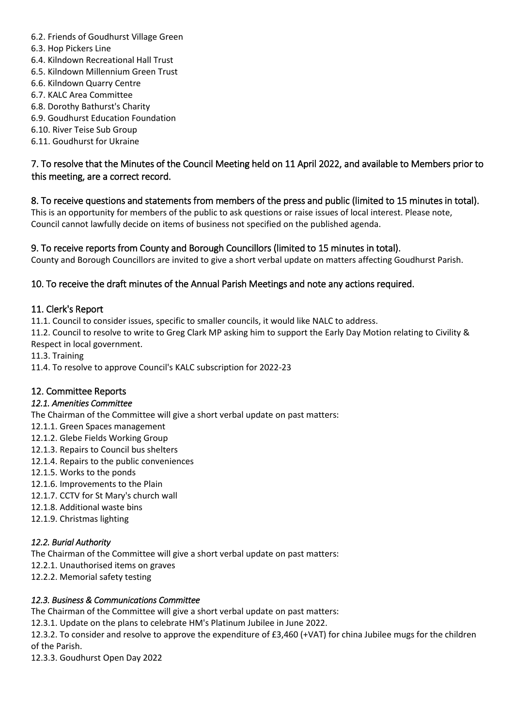- 6.2. Friends of Goudhurst Village Green
- 6.3. Hop Pickers Line
- 6.4. Kilndown Recreational Hall Trust
- 6.5. Kilndown Millennium Green Trust
- 6.6. Kilndown Quarry Centre
- 6.7. KALC Area Committee
- 6.8. Dorothy Bathurst's Charity
- 6.9. Goudhurst Education Foundation
- 6.10. River Teise Sub Group
- 6.11. Goudhurst for Ukraine

# 7. To resolve that the Minutes of the Council Meeting held on 11 April 2022, and available to Members prior to this meeting, are a correct record.

# 8. To receive questions and statements from members of the press and public (limited to 15 minutes in total).

This is an opportunity for members of the public to ask questions or raise issues of local interest. Please note, Council cannot lawfully decide on items of business not specified on the published agenda.

# 9. To receive reports from County and Borough Councillors (limited to 15 minutes in total).

County and Borough Councillors are invited to give a short verbal update on matters affecting Goudhurst Parish.

# 10. To receive the draft minutes of the Annual Parish Meetings and note any actions required.

# 11. Clerk's Report

11.1. Council to consider issues, specific to smaller councils, it would like NALC to address.

11.2. Council to resolve to write to Greg Clark MP asking him to support the Early Day Motion relating to Civility & Respect in local government.

- 11.3. Training
- 11.4. To resolve to approve Council's KALC subscription for 2022-23

# 12. Committee Reports

#### *12.1. Amenities Committee*

The Chairman of the Committee will give a short verbal update on past matters:

- 12.1.1. Green Spaces management
- 12.1.2. Glebe Fields Working Group
- 12.1.3. Repairs to Council bus shelters
- 12.1.4. Repairs to the public conveniences
- 12.1.5. Works to the ponds
- 12.1.6. Improvements to the Plain
- 12.1.7. CCTV for St Mary's church wall
- 12.1.8. Additional waste bins
- 12.1.9. Christmas lighting

#### *12.2. Burial Authority*

The Chairman of the Committee will give a short verbal update on past matters:

- 12.2.1. Unauthorised items on graves
- 12.2.2. Memorial safety testing

#### *12.3. Business & Communications Committee*

The Chairman of the Committee will give a short verbal update on past matters:

12.3.1. Update on the plans to celebrate HM's Platinum Jubilee in June 2022.

12.3.2. To consider and resolve to approve the expenditure of £3,460 (+VAT) for china Jubilee mugs for the children of the Parish.

12.3.3. Goudhurst Open Day 2022